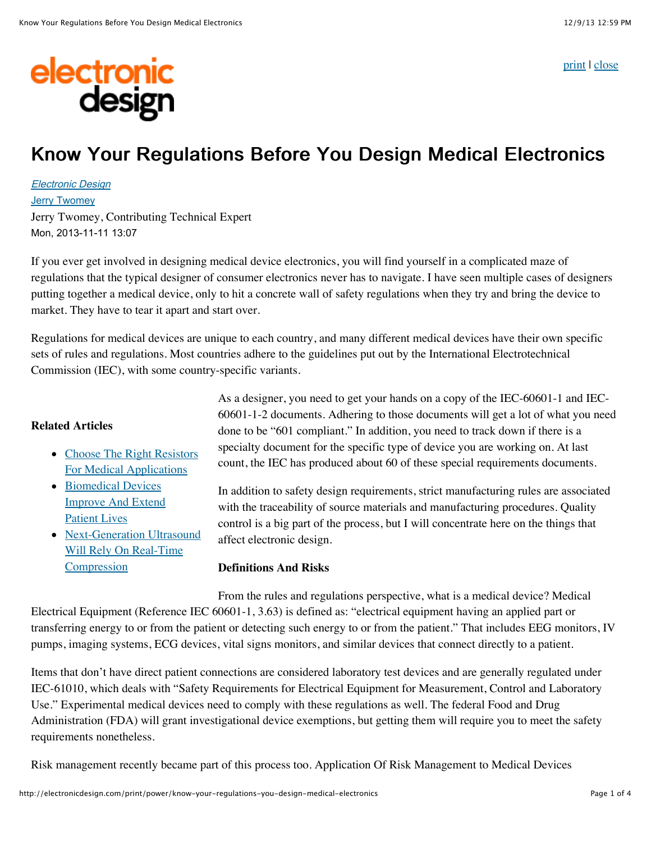electronic<br>design

[print](javascript:window.print();) | [close](javascript:window.close())

# Know Your Regulations Before You Design Medical Electronics

[Electronic Design](http://electronicdesign.com/electronic-design-0) [Jerry Twomey](http://electronicdesign.com/author/jerry-twomey) Jerry Twomey, Contributing Technical Expert Mon, 2013-11-11 13:07

If you ever get involved in designing medical device electronics, you will find yourself in a complicated maze of regulations that the typical designer of consumer electronics never has to navigate. I have seen multiple cases of designers putting together a medical device, only to hit a concrete wall of safety regulations when they try and bring the device to market. They have to tear it apart and start over.

Regulations for medical devices are unique to each country, and many different medical devices have their own specific sets of rules and regulations. Most countries adhere to the guidelines put out by the International Electrotechnical Commission (IEC), with some country-specific variants.

#### **Related Articles**

- [Choose The Right Resistors](http://electronicdesign.com/power/choose-right-resistors-medical-applications) For Medical Applications
- Biomedical Devices [Improve And Extend](http://electronicdesign.com/digital-ics/biomedical-devices-improve-and-extend-patient-lives) Patient Lives
- [Next-Generation Ultrasound](http://electronicdesign.com/analog/next-generation-ultrasound-will-rely-real-time-compression) Will Rely On Real-Time **Compression**

As a designer, you need to get your hands on a copy of the IEC-60601-1 and IEC-60601-1-2 documents. Adhering to those documents will get a lot of what you need done to be "601 compliant." In addition, you need to track down if there is a specialty document for the specific type of device you are working on. At last count, the IEC has produced about 60 of these special requirements documents.

In addition to safety design requirements, strict manufacturing rules are associated with the traceability of source materials and manufacturing procedures. Quality control is a big part of the process, but I will concentrate here on the things that affect electronic design.

#### **Definitions And Risks**

From the rules and regulations perspective, what is a medical device? Medical Electrical Equipment (Reference IEC 60601-1, 3.63) is defined as: "electrical equipment having an applied part or transferring energy to or from the patient or detecting such energy to or from the patient." That includes EEG monitors, IV pumps, imaging systems, ECG devices, vital signs monitors, and similar devices that connect directly to a patient.

Items that don't have direct patient connections are considered laboratory test devices and are generally regulated under IEC-61010, which deals with "Safety Requirements for Electrical Equipment for Measurement, Control and Laboratory Use." Experimental medical devices need to comply with these regulations as well. The federal Food and Drug Administration (FDA) will grant investigational device exemptions, but getting them will require you to meet the safety requirements nonetheless.

Risk management recently became part of this process too. Application Of Risk Management to Medical Devices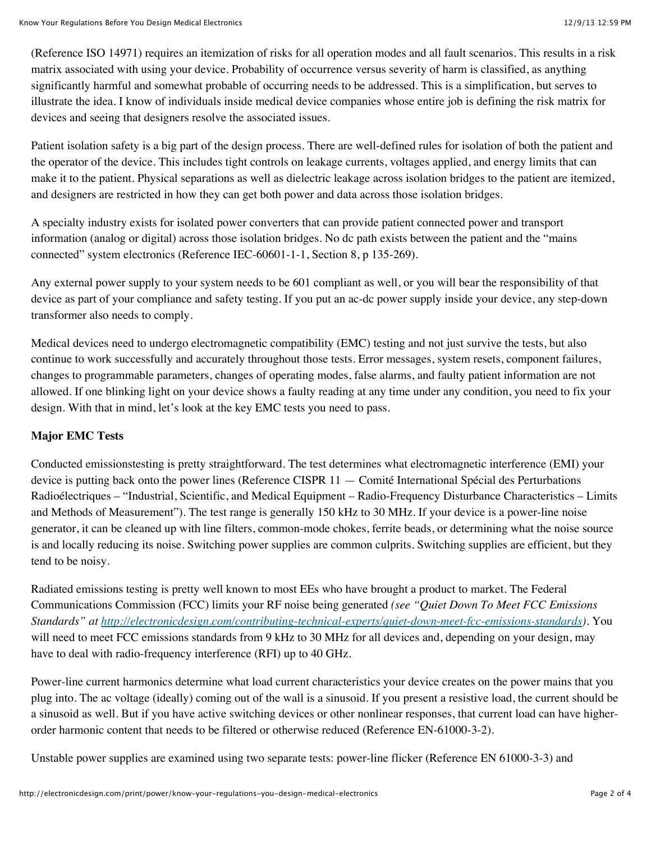(Reference ISO 14971) requires an itemization of risks for all operation modes and all fault scenarios. This results in a risk matrix associated with using your device. Probability of occurrence versus severity of harm is classified, as anything significantly harmful and somewhat probable of occurring needs to be addressed. This is a simplification, but serves to illustrate the idea. I know of individuals inside medical device companies whose entire job is defining the risk matrix for devices and seeing that designers resolve the associated issues.

Patient isolation safety is a big part of the design process. There are well-defined rules for isolation of both the patient and the operator of the device. This includes tight controls on leakage currents, voltages applied, and energy limits that can make it to the patient. Physical separations as well as dielectric leakage across isolation bridges to the patient are itemized, and designers are restricted in how they can get both power and data across those isolation bridges.

A specialty industry exists for isolated power converters that can provide patient connected power and transport information (analog or digital) across those isolation bridges. No dc path exists between the patient and the "mains connected" system electronics (Reference IEC-60601-1-1, Section 8, p 135-269).

Any external power supply to your system needs to be 601 compliant as well, or you will bear the responsibility of that device as part of your compliance and safety testing. If you put an ac-dc power supply inside your device, any step-down transformer also needs to comply.

Medical devices need to undergo electromagnetic compatibility (EMC) testing and not just survive the tests, but also continue to work successfully and accurately throughout those tests. Error messages, system resets, component failures, changes to programmable parameters, changes of operating modes, false alarms, and faulty patient information are not allowed. If one blinking light on your device shows a faulty reading at any time under any condition, you need to fix your design. With that in mind, let's look at the key EMC tests you need to pass.

## **Major EMC Tests**

Conducted emissionstesting is pretty straightforward. The test determines what electromagnetic interference (EMI) your device is putting back onto the power lines (Reference CISPR 11 — Comité International Spécial des Perturbations Radioélectriques – "Industrial, Scientific, and Medical Equipment – Radio-Frequency Disturbance Characteristics – Limits and Methods of Measurement"). The test range is generally 150 kHz to 30 MHz. If your device is a power-line noise generator, it can be cleaned up with line filters, common-mode chokes, ferrite beads, or determining what the noise source is and locally reducing its noise. Switching power supplies are common culprits. Switching supplies are efficient, but they tend to be noisy.

Radiated emissions testing is pretty well known to most EEs who have brought a product to market. The Federal Communications Commission (FCC) limits your RF noise being generated *(see "Quiet Down To Meet FCC Emissions Standards" at [http://electronicdesign.com/contributing-technical-experts/quiet-down-meet-fcc-emissions-standards\)](http://electronicdesign.com/contributing-technical-experts/quiet-down-meet-fcc-emissions-standards)*. You will need to meet FCC emissions standards from 9 kHz to 30 MHz for all devices and, depending on your design, may have to deal with radio-frequency interference (RFI) up to 40 GHz.

Power-line current harmonics determine what load current characteristics your device creates on the power mains that you plug into. The ac voltage (ideally) coming out of the wall is a sinusoid. If you present a resistive load, the current should be a sinusoid as well. But if you have active switching devices or other nonlinear responses, that current load can have higherorder harmonic content that needs to be filtered or otherwise reduced (Reference EN-61000-3-2).

Unstable power supplies are examined using two separate tests: power-line flicker (Reference EN 61000-3-3) and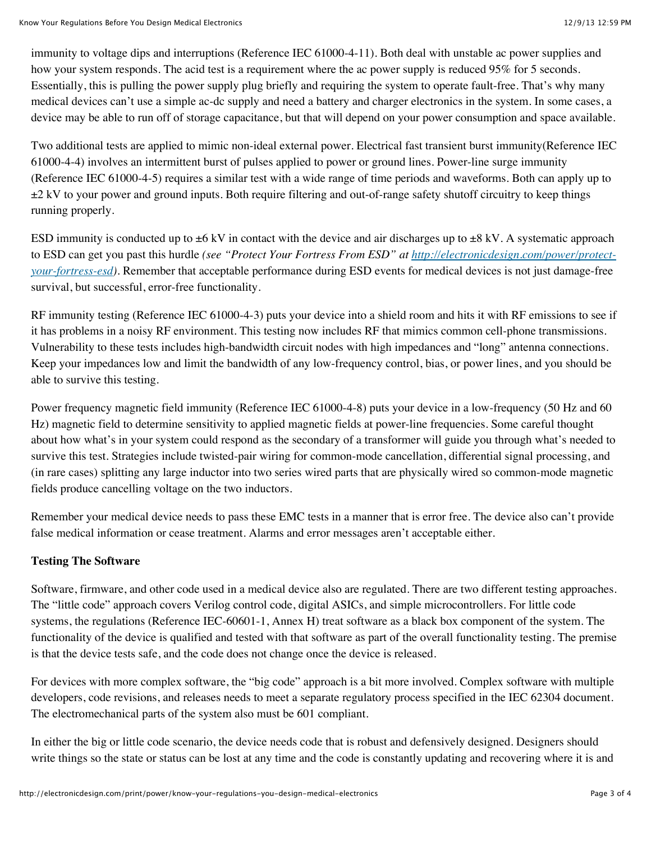immunity to voltage dips and interruptions (Reference IEC 61000-4-11). Both deal with unstable ac power supplies and how your system responds. The acid test is a requirement where the ac power supply is reduced 95% for 5 seconds. Essentially, this is pulling the power supply plug briefly and requiring the system to operate fault-free. That's why many medical devices can't use a simple ac-dc supply and need a battery and charger electronics in the system. In some cases, a device may be able to run off of storage capacitance, but that will depend on your power consumption and space available.

Two additional tests are applied to mimic non-ideal external power. Electrical fast transient burst immunity(Reference IEC 61000-4-4) involves an intermittent burst of pulses applied to power or ground lines. Power-line surge immunity (Reference IEC 61000-4-5) requires a similar test with a wide range of time periods and waveforms. Both can apply up to  $\pm 2$  kV to your power and ground inputs. Both require filtering and out-of-range safety shutoff circuitry to keep things running properly.

ESD immunity is conducted up to  $\pm 6$  kV in contact with the device and air discharges up to  $\pm 8$  kV. A systematic approach to ESD can get you past this hurdle *(see "Protect Your Fortress From ESD" at http://electronicdesign.com/power/protectyour-fortress-esd)*[. Remember that acceptable performance during ESD events for medical devices is not just damage-free](http://electronicdesign.com/power/protect-your-fortress-esd) survival, but successful, error-free functionality.

RF immunity testing (Reference IEC 61000-4-3) puts your device into a shield room and hits it with RF emissions to see if it has problems in a noisy RF environment. This testing now includes RF that mimics common cell-phone transmissions. Vulnerability to these tests includes high-bandwidth circuit nodes with high impedances and "long" antenna connections. Keep your impedances low and limit the bandwidth of any low-frequency control, bias, or power lines, and you should be able to survive this testing.

Power frequency magnetic field immunity (Reference IEC 61000-4-8) puts your device in a low-frequency (50 Hz and 60 Hz) magnetic field to determine sensitivity to applied magnetic fields at power-line frequencies. Some careful thought about how what's in your system could respond as the secondary of a transformer will guide you through what's needed to survive this test. Strategies include twisted-pair wiring for common-mode cancellation, differential signal processing, and (in rare cases) splitting any large inductor into two series wired parts that are physically wired so common-mode magnetic fields produce cancelling voltage on the two inductors.

Remember your medical device needs to pass these EMC tests in a manner that is error free. The device also can't provide false medical information or cease treatment. Alarms and error messages aren't acceptable either.

## **Testing The Software**

Software, firmware, and other code used in a medical device also are regulated. There are two different testing approaches. The "little code" approach covers Verilog control code, digital ASICs, and simple microcontrollers. For little code systems, the regulations (Reference IEC-60601-1, Annex H) treat software as a black box component of the system. The functionality of the device is qualified and tested with that software as part of the overall functionality testing. The premise is that the device tests safe, and the code does not change once the device is released.

For devices with more complex software, the "big code" approach is a bit more involved. Complex software with multiple developers, code revisions, and releases needs to meet a separate regulatory process specified in the IEC 62304 document. The electromechanical parts of the system also must be 601 compliant.

In either the big or little code scenario, the device needs code that is robust and defensively designed. Designers should write things so the state or status can be lost at any time and the code is constantly updating and recovering where it is and